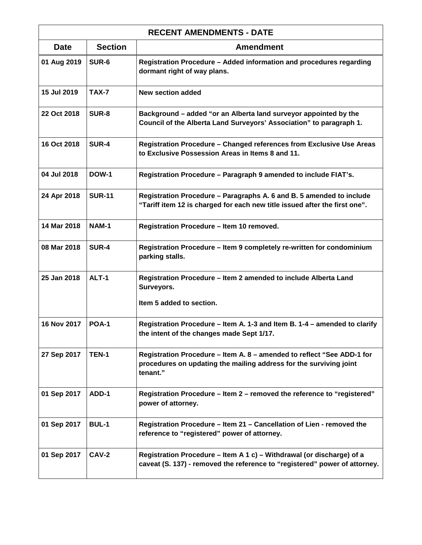| <b>RECENT AMENDMENTS - DATE</b> |                |                                                                                                                                                          |
|---------------------------------|----------------|----------------------------------------------------------------------------------------------------------------------------------------------------------|
| <b>Date</b>                     | <b>Section</b> | <b>Amendment</b>                                                                                                                                         |
| 01 Aug 2019                     | SUR-6          | Registration Procedure - Added information and procedures regarding<br>dormant right of way plans.                                                       |
| 15 Jul 2019                     | <b>TAX-7</b>   | <b>New section added</b>                                                                                                                                 |
| 22 Oct 2018                     | <b>SUR-8</b>   | Background - added "or an Alberta land surveyor appointed by the<br>Council of the Alberta Land Surveyors' Association" to paragraph 1.                  |
| 16 Oct 2018                     | <b>SUR-4</b>   | Registration Procedure - Changed references from Exclusive Use Areas<br>to Exclusive Possession Areas in Items 8 and 11.                                 |
| 04 Jul 2018                     | <b>DOW-1</b>   | Registration Procedure - Paragraph 9 amended to include FIAT's.                                                                                          |
| 24 Apr 2018                     | <b>SUR-11</b>  | Registration Procedure - Paragraphs A. 6 and B. 5 amended to include<br>"Tariff item 12 is charged for each new title issued after the first one".       |
| 14 Mar 2018                     | <b>NAM-1</b>   | Registration Procedure - Item 10 removed.                                                                                                                |
| 08 Mar 2018                     | <b>SUR-4</b>   | Registration Procedure - Item 9 completely re-written for condominium<br>parking stalls.                                                                 |
| 25 Jan 2018                     | ALT-1          | Registration Procedure - Item 2 amended to include Alberta Land<br>Surveyors.<br>Item 5 added to section.                                                |
| 16 Nov 2017                     | <b>POA-1</b>   | Registration Procedure - Item A. 1-3 and Item B. 1-4 - amended to clarify<br>the intent of the changes made Sept 1/17.                                   |
| 27 Sep 2017                     | <b>TEN-1</b>   | Registration Procedure – Item A. 8 – amended to reflect "See ADD-1 for<br>procedures on updating the mailing address for the surviving joint<br>tenant." |
| 01 Sep 2017                     | ADD-1          | Registration Procedure - Item 2 - removed the reference to "registered"<br>power of attorney.                                                            |
| 01 Sep 2017                     | <b>BUL-1</b>   | Registration Procedure - Item 21 - Cancellation of Lien - removed the<br>reference to "registered" power of attorney.                                    |
| 01 Sep 2017                     | CAV-2          | Registration Procedure – Item A 1 c) – Withdrawal (or discharge) of a<br>caveat (S. 137) - removed the reference to "registered" power of attorney.      |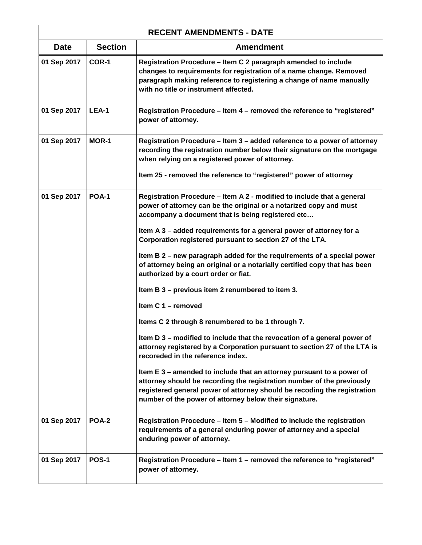| <b>RECENT AMENDMENTS - DATE</b> |                |                                                                                                                                                                                                                                                                                       |
|---------------------------------|----------------|---------------------------------------------------------------------------------------------------------------------------------------------------------------------------------------------------------------------------------------------------------------------------------------|
| <b>Date</b>                     | <b>Section</b> | <b>Amendment</b>                                                                                                                                                                                                                                                                      |
| 01 Sep 2017                     | COR-1          | Registration Procedure - Item C 2 paragraph amended to include<br>changes to requirements for registration of a name change. Removed<br>paragraph making reference to registering a change of name manually<br>with no title or instrument affected.                                  |
| 01 Sep 2017                     | LEA-1          | Registration Procedure - Item 4 - removed the reference to "registered"<br>power of attorney.                                                                                                                                                                                         |
| 01 Sep 2017                     | <b>MOR-1</b>   | Registration Procedure - Item 3 - added reference to a power of attorney<br>recording the registration number below their signature on the mortgage<br>when relying on a registered power of attorney.                                                                                |
|                                 |                | Item 25 - removed the reference to "registered" power of attorney                                                                                                                                                                                                                     |
| 01 Sep 2017                     | <b>POA-1</b>   | Registration Procedure - Item A 2 - modified to include that a general<br>power of attorney can be the original or a notarized copy and must<br>accompany a document that is being registered etc                                                                                     |
|                                 |                | Item A 3 - added requirements for a general power of attorney for a<br>Corporation registered pursuant to section 27 of the LTA.                                                                                                                                                      |
|                                 |                | Item B 2 - new paragraph added for the requirements of a special power<br>of attorney being an original or a notarially certified copy that has been<br>authorized by a court order or fiat.                                                                                          |
|                                 |                | Item B 3 – previous item 2 renumbered to item 3.                                                                                                                                                                                                                                      |
|                                 |                | Item C 1 - removed                                                                                                                                                                                                                                                                    |
|                                 |                | Items C 2 through 8 renumbered to be 1 through 7.                                                                                                                                                                                                                                     |
|                                 |                | Item D 3 - modified to include that the revocation of a general power of<br>attorney registered by a Corporation pursuant to section 27 of the LTA is<br>recoreded in the reference index.                                                                                            |
|                                 |                | Item E 3 – amended to include that an attorney pursuant to a power of<br>attorney should be recording the registration number of the previously<br>registered general power of attorney should be recoding the registration<br>number of the power of attorney below their signature. |
| 01 Sep 2017                     | POA-2          | Registration Procedure - Item 5 - Modified to include the registration<br>requirements of a general enduring power of attorney and a special<br>enduring power of attorney.                                                                                                           |
| 01 Sep 2017                     | <b>POS-1</b>   | Registration Procedure - Item 1 - removed the reference to "registered"<br>power of attorney.                                                                                                                                                                                         |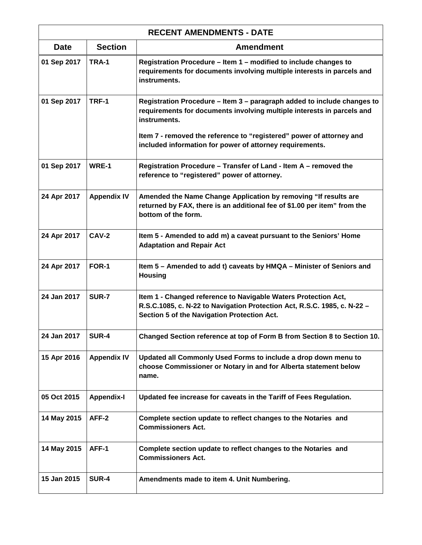| <b>RECENT AMENDMENTS - DATE</b> |                    |                                                                                                                                                                                           |
|---------------------------------|--------------------|-------------------------------------------------------------------------------------------------------------------------------------------------------------------------------------------|
| <b>Date</b>                     | <b>Section</b>     | <b>Amendment</b>                                                                                                                                                                          |
| 01 Sep 2017                     | TRA-1              | Registration Procedure - Item 1 - modified to include changes to<br>requirements for documents involving multiple interests in parcels and<br>instruments.                                |
| 01 Sep 2017                     | TRF-1              | Registration Procedure - Item 3 - paragraph added to include changes to<br>requirements for documents involving multiple interests in parcels and<br>instruments.                         |
|                                 |                    | Item 7 - removed the reference to "registered" power of attorney and<br>included information for power of attorney requirements.                                                          |
| 01 Sep 2017                     | WRE-1              | Registration Procedure - Transfer of Land - Item A - removed the<br>reference to "registered" power of attorney.                                                                          |
| 24 Apr 2017                     | <b>Appendix IV</b> | Amended the Name Change Application by removing "If results are<br>returned by FAX, there is an additional fee of \$1.00 per item" from the<br>bottom of the form.                        |
| 24 Apr 2017                     | CAV-2              | Item 5 - Amended to add m) a caveat pursuant to the Seniors' Home<br><b>Adaptation and Repair Act</b>                                                                                     |
| 24 Apr 2017                     | FOR-1              | Item 5 - Amended to add t) caveats by HMQA - Minister of Seniors and<br><b>Housing</b>                                                                                                    |
| 24 Jan 2017                     | SUR-7              | Item 1 - Changed reference to Navigable Waters Protection Act,<br>R.S.C.1085, c. N-22 to Navigation Protection Act, R.S.C. 1985, c. N-22 -<br>Section 5 of the Navigation Protection Act. |
| 24 Jan 2017                     | <b>SUR-4</b>       | Changed Section reference at top of Form B from Section 8 to Section 10.                                                                                                                  |
| 15 Apr 2016                     | <b>Appendix IV</b> | Updated all Commonly Used Forms to include a drop down menu to<br>choose Commissioner or Notary in and for Alberta statement below<br>name.                                               |
| 05 Oct 2015                     | <b>Appendix-I</b>  | Updated fee increase for caveats in the Tariff of Fees Regulation.                                                                                                                        |
| 14 May 2015                     | AFF-2              | Complete section update to reflect changes to the Notaries and<br><b>Commissioners Act.</b>                                                                                               |
| 14 May 2015                     | AFF-1              | Complete section update to reflect changes to the Notaries and<br><b>Commissioners Act.</b>                                                                                               |
| 15 Jan 2015                     | <b>SUR-4</b>       | Amendments made to item 4. Unit Numbering.                                                                                                                                                |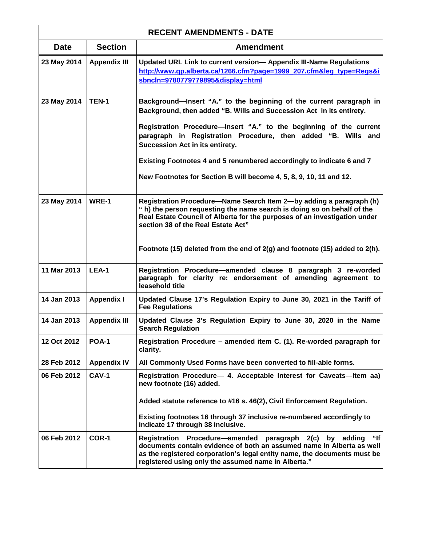| <b>RECENT AMENDMENTS - DATE</b> |                     |                                                                                                                                                                                                                                                                               |
|---------------------------------|---------------------|-------------------------------------------------------------------------------------------------------------------------------------------------------------------------------------------------------------------------------------------------------------------------------|
| <b>Date</b>                     | <b>Section</b>      | <b>Amendment</b>                                                                                                                                                                                                                                                              |
| 23 May 2014                     | <b>Appendix III</b> | Updated URL Link to current version- Appendix III-Name Regulations<br>http://www.qp.alberta.ca/1266.cfm?page=1999_207.cfm⋚_type=Regs&i<br>sbncln=9780779779895&display=html                                                                                                   |
| 23 May 2014                     | <b>TEN-1</b>        | Background-Insert "A." to the beginning of the current paragraph in<br>Background, then added "B. Wills and Succession Act in its entirety.                                                                                                                                   |
|                                 |                     | Registration Procedure-Insert "A." to the beginning of the current<br>paragraph in Registration Procedure, then added "B. Wills and<br>Succession Act in its entirety.                                                                                                        |
|                                 |                     | Existing Footnotes 4 and 5 renumbered accordingly to indicate 6 and 7                                                                                                                                                                                                         |
|                                 |                     | New Footnotes for Section B will become 4, 5, 8, 9, 10, 11 and 12.                                                                                                                                                                                                            |
| 23 May 2014                     | WRE-1               | Registration Procedure-Name Search Item 2-by adding a paragraph (h)<br>" h) the person requesting the name search is doing so on behalf of the<br>Real Estate Council of Alberta for the purposes of an investigation under<br>section 38 of the Real Estate Act"             |
|                                 |                     | Footnote (15) deleted from the end of $2(g)$ and footnote (15) added to $2(h)$ .                                                                                                                                                                                              |
| 11 Mar 2013                     | LEA-1               | Registration Procedure-amended clause 8 paragraph 3 re-worded<br>paragraph for clarity re: endorsement of amending agreement to<br>leasehold title                                                                                                                            |
| 14 Jan 2013                     | <b>Appendix I</b>   | Updated Clause 17's Regulation Expiry to June 30, 2021 in the Tariff of<br><b>Fee Regulations</b>                                                                                                                                                                             |
| 14 Jan 2013                     | <b>Appendix III</b> | Updated Clause 3's Regulation Expiry to June 30, 2020 in the Name<br><b>Search Regulation</b>                                                                                                                                                                                 |
| 12 Oct 2012                     | <b>POA-1</b>        | Registration Procedure – amended item C. (1). Re-worded paragraph for<br>clarity.                                                                                                                                                                                             |
| 28 Feb 2012                     | <b>Appendix IV</b>  | All Commonly Used Forms have been converted to fill-able forms.                                                                                                                                                                                                               |
| 06 Feb 2012                     | CAV-1               | Registration Procedure- 4. Acceptable Interest for Caveats-Item aa)<br>new footnote (16) added.                                                                                                                                                                               |
|                                 |                     | Added statute reference to #16 s. 46(2), Civil Enforcement Regulation.                                                                                                                                                                                                        |
|                                 |                     | Existing footnotes 16 through 37 inclusive re-numbered accordingly to<br>indicate 17 through 38 inclusive.                                                                                                                                                                    |
| 06 Feb 2012                     | COR-1               | "lf<br>Registration Procedure—amended paragraph 2(c)<br>by adding<br>documents contain evidence of both an assumed name in Alberta as well<br>as the registered corporation's legal entity name, the documents must be<br>registered using only the assumed name in Alberta." |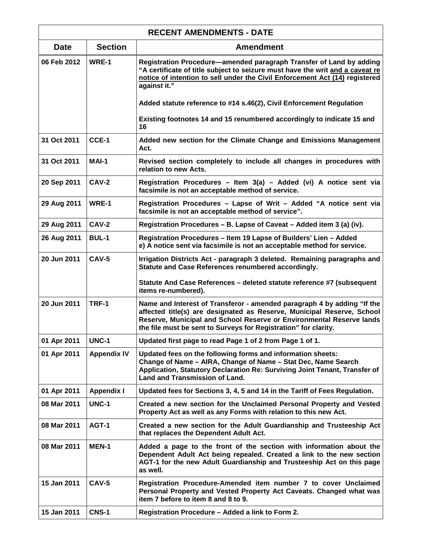| <b>RECENT AMENDMENTS - DATE</b> |                    |                                                                                                                                                                                                                                                                                              |
|---------------------------------|--------------------|----------------------------------------------------------------------------------------------------------------------------------------------------------------------------------------------------------------------------------------------------------------------------------------------|
| <b>Date</b>                     | <b>Section</b>     | <b>Amendment</b>                                                                                                                                                                                                                                                                             |
| 06 Feb 2012                     | WRE-1              | Registration Procedure—amended paragraph Transfer of Land by adding<br>"A certificate of title subject to seizure must have the writ and a caveat re<br>notice of intention to sell under the Civil Enforcement Act (14) registered<br>against it."                                          |
|                                 |                    | Added statute reference to #14 s.46(2), Civil Enforcement Regulation                                                                                                                                                                                                                         |
|                                 |                    | Existing footnotes 14 and 15 renumbered accordingly to indicate 15 and<br>16                                                                                                                                                                                                                 |
| 31 Oct 2011                     | CCE-1              | Added new section for the Climate Change and Emissions Management<br>Act.                                                                                                                                                                                                                    |
| 31 Oct 2011                     | MAI-1              | Revised section completely to include all changes in procedures with<br>relation to new Acts.                                                                                                                                                                                                |
| 20 Sep 2011                     | <b>CAV-2</b>       | Registration Procedures - Item 3(a) - Added (vi) A notice sent via<br>facsimile is not an acceptable method of service.                                                                                                                                                                      |
| 29 Aug 2011                     | WRE-1              | Registration Procedures - Lapse of Writ - Added "A notice sent via<br>facsimile is not an acceptable method of service".                                                                                                                                                                     |
| 29 Aug 2011                     | <b>CAV-2</b>       | Registration Procedures - B. Lapse of Caveat - Added item 3 (a) (iv).                                                                                                                                                                                                                        |
| 26 Aug 2011                     | <b>BUL-1</b>       | Registration Procedures - Item 19 Lapse of Builders' Lien - Added<br>e) A notice sent via facsimile is not an acceptable method for service.                                                                                                                                                 |
| 20 Jun 2011                     | CAV-5              | Irrigation Districts Act - paragraph 3 deleted. Remaining paragraphs and<br>Statute and Case References renumbered accordingly.                                                                                                                                                              |
|                                 |                    | Statute And Case References - deleted statute reference #7 (subsequent<br>items re-numbered).                                                                                                                                                                                                |
| 20 Jun 2011                     | <b>TRF-1</b>       | Name and Interest of Transferor - amended paragraph 4 by adding "If the<br>affected title(s) are designated as Reserve, Municipal Reserve, School<br>Reserve, Municipal and School Reserve or Environmental Reserve lands<br>the file must be sent to Surveys for Registration" for clarity. |
| 01 Apr 2011                     | <b>UNC-1</b>       | Updated first page to read Page 1 of 2 from Page 1 of 1.                                                                                                                                                                                                                                     |
| 01 Apr 2011                     | <b>Appendix IV</b> | Updated fees on the following forms and information sheets:<br>Change of Name - AIRA, Change of Name - Stat Dec, Name Search<br>Application, Statutory Declaration Re: Surviving Joint Tenant, Transfer of<br><b>Land and Transmission of Land.</b>                                          |
| 01 Apr 2011                     | <b>Appendix I</b>  | Updated fees for Sections 3, 4, 5 and 14 in the Tariff of Fees Regulation.                                                                                                                                                                                                                   |
| 08 Mar 2011                     | <b>UNC-1</b>       | Created a new section for the Unclaimed Personal Property and Vested<br>Property Act as well as any Forms with relation to this new Act.                                                                                                                                                     |
| 08 Mar 2011                     | AGT-1              | Created a new section for the Adult Guardianship and Trusteeship Act<br>that replaces the Dependent Adult Act.                                                                                                                                                                               |
| 08 Mar 2011                     | <b>MEN-1</b>       | Added a page to the front of the section with information about the<br>Dependent Adult Act being repealed. Created a link to the new section<br>AGT-1 for the new Adult Guardianship and Trusteeship Act on this page<br>as well.                                                            |
| 15 Jan 2011                     | <b>CAV-5</b>       | Registration Procedure-Amended item number 7 to cover Unclaimed<br>Personal Property and Vested Property Act Caveats. Changed what was<br>item 7 before to item 8 and 8 to 9.                                                                                                                |
| 15 Jan 2011                     | <b>CNS-1</b>       | Registration Procedure - Added a link to Form 2.                                                                                                                                                                                                                                             |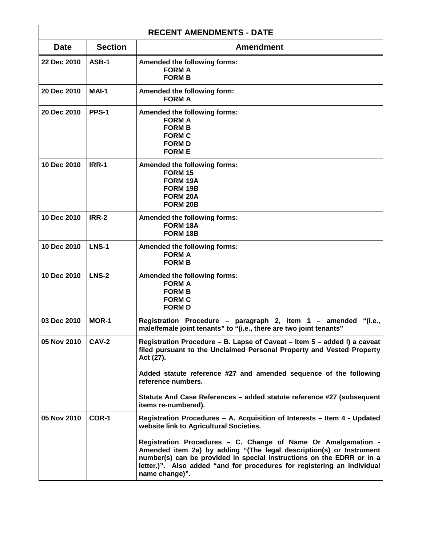| <b>RECENT AMENDMENTS - DATE</b> |                |                                                                                                                                                                                                                                                                                                                                                                                                                                   |
|---------------------------------|----------------|-----------------------------------------------------------------------------------------------------------------------------------------------------------------------------------------------------------------------------------------------------------------------------------------------------------------------------------------------------------------------------------------------------------------------------------|
| <b>Date</b>                     | <b>Section</b> | <b>Amendment</b>                                                                                                                                                                                                                                                                                                                                                                                                                  |
| 22 Dec 2010                     | ASB-1          | Amended the following forms:<br><b>FORM A</b><br><b>FORM B</b>                                                                                                                                                                                                                                                                                                                                                                    |
| 20 Dec 2010                     | MAI-1          | Amended the following form:<br><b>FORM A</b>                                                                                                                                                                                                                                                                                                                                                                                      |
| 20 Dec 2010                     | PPS-1          | Amended the following forms:<br><b>FORM A</b><br><b>FORM B</b><br><b>FORM C</b><br><b>FORM D</b><br><b>FORM E</b>                                                                                                                                                                                                                                                                                                                 |
| 10 Dec 2010                     | IRR-1          | Amended the following forms:<br><b>FORM 15</b><br>FORM 19A<br>FORM 19B<br><b>FORM 20A</b><br>FORM 20B                                                                                                                                                                                                                                                                                                                             |
| 10 Dec 2010                     | <b>IRR-2</b>   | Amended the following forms:<br>FORM 18A<br>FORM 18B                                                                                                                                                                                                                                                                                                                                                                              |
| 10 Dec 2010                     | <b>LNS-1</b>   | Amended the following forms:<br><b>FORM A</b><br><b>FORM B</b>                                                                                                                                                                                                                                                                                                                                                                    |
| 10 Dec 2010                     | <b>LNS-2</b>   | Amended the following forms:<br><b>FORM A</b><br><b>FORM B</b><br><b>FORM C</b><br><b>FORM D</b>                                                                                                                                                                                                                                                                                                                                  |
| 03 Dec 2010                     | MOR-1          | Registration Procedure - paragraph 2, item 1 - amended<br>"(i.e.,<br>male/female joint tenants" to "(i.e., there are two joint tenants"                                                                                                                                                                                                                                                                                           |
| 05 Nov 2010                     | <b>CAV-2</b>   | Registration Procedure - B. Lapse of Caveat - Item 5 - added I) a caveat<br>filed pursuant to the Unclaimed Personal Property and Vested Property<br>Act (27).<br>Added statute reference #27 and amended sequence of the following<br>reference numbers.<br>Statute And Case References - added statute reference #27 (subsequent<br>items re-numbered).                                                                         |
| 05 Nov 2010                     | COR-1          | Registration Procedures - A. Acquisition of Interests - Item 4 - Updated<br>website link to Agricultural Societies.<br>Registration Procedures - C. Change of Name Or Amalgamation -<br>Amended item 2a) by adding "(The legal description(s) or Instrument<br>number(s) can be provided in special instructions on the EDRR or in a<br>letter.)". Also added "and for procedures for registering an individual<br>name change)". |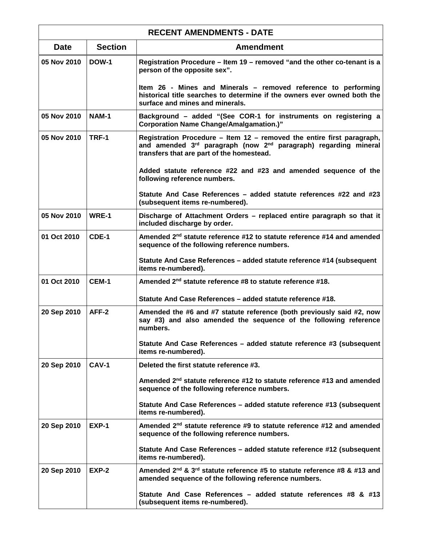| <b>RECENT AMENDMENTS - DATE</b> |                |                                                                                                                                                                                        |
|---------------------------------|----------------|----------------------------------------------------------------------------------------------------------------------------------------------------------------------------------------|
| <b>Date</b>                     | <b>Section</b> | <b>Amendment</b>                                                                                                                                                                       |
| 05 Nov 2010                     | <b>DOW-1</b>   | Registration Procedure – Item 19 – removed "and the other co-tenant is a<br>person of the opposite sex".                                                                               |
|                                 |                | Item 26 - Mines and Minerals – removed reference to performing<br>historical title searches to determine if the owners ever owned both the<br>surface and mines and minerals.          |
| 05 Nov 2010                     | <b>NAM-1</b>   | Background - added "(See COR-1 for instruments on registering a<br><b>Corporation Name Change/Amalgamation.)"</b>                                                                      |
| 05 Nov 2010                     | TRF-1          | Registration Procedure - Item 12 - removed the entire first paragraph,<br>and amended 3rd paragraph (now 2nd paragraph) regarding mineral<br>transfers that are part of the homestead. |
|                                 |                | Added statute reference #22 and #23 and amended sequence of the<br>following reference numbers.                                                                                        |
|                                 |                | Statute And Case References - added statute references #22 and #23<br>(subsequent items re-numbered).                                                                                  |
| 05 Nov 2010                     | WRE-1          | Discharge of Attachment Orders - replaced entire paragraph so that it<br>included discharge by order.                                                                                  |
| 01 Oct 2010                     | CDE-1          | Amended 2 <sup>nd</sup> statute reference #12 to statute reference #14 and amended<br>sequence of the following reference numbers.                                                     |
|                                 |                | Statute And Case References - added statute reference #14 (subsequent<br>items re-numbered).                                                                                           |
| 01 Oct 2010                     | CEM-1          | Amended 2 <sup>nd</sup> statute reference #8 to statute reference #18.                                                                                                                 |
|                                 |                | Statute And Case References - added statute reference #18.                                                                                                                             |
| 20 Sep 2010                     | AFF-2          | Amended the #6 and #7 statute reference (both previously said #2, now<br>say #3) and also amended the sequence of the following reference<br>numbers.                                  |
|                                 |                | Statute And Case References - added statute reference #3 (subsequent<br>items re-numbered).                                                                                            |
| 20 Sep 2010                     | <b>CAV-1</b>   | Deleted the first statute reference #3.                                                                                                                                                |
|                                 |                | Amended 2 <sup>nd</sup> statute reference #12 to statute reference #13 and amended<br>sequence of the following reference numbers.                                                     |
|                                 |                | Statute And Case References - added statute reference #13 (subsequent<br>items re-numbered).                                                                                           |
| 20 Sep 2010                     | EXP-1          | Amended 2 <sup>nd</sup> statute reference #9 to statute reference #12 and amended<br>sequence of the following reference numbers.                                                      |
|                                 |                | Statute And Case References - added statute reference #12 (subsequent<br>items re-numbered).                                                                                           |
| 20 Sep 2010                     | EXP-2          | Amended 2 <sup>nd</sup> & 3 <sup>rd</sup> statute reference #5 to statute reference #8 & #13 and<br>amended sequence of the following reference numbers.                               |
|                                 |                | Statute And Case References - added statute references #8 & #13<br>(subsequent items re-numbered).                                                                                     |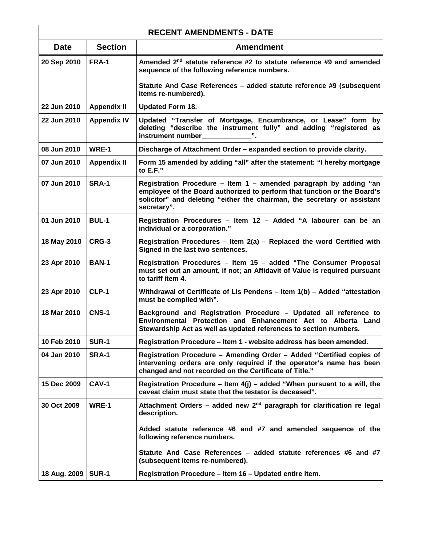| <b>RECENT AMENDMENTS - DATE</b> |                    |                                                                                                                                                                                                                                          |
|---------------------------------|--------------------|------------------------------------------------------------------------------------------------------------------------------------------------------------------------------------------------------------------------------------------|
| <b>Date</b>                     | <b>Section</b>     | <b>Amendment</b>                                                                                                                                                                                                                         |
| 20 Sep 2010                     | FRA-1              | Amended 2 <sup>nd</sup> statute reference #2 to statute reference #9 and amended<br>sequence of the following reference numbers.                                                                                                         |
|                                 |                    | Statute And Case References - added statute reference #9 (subsequent<br>items re-numbered).                                                                                                                                              |
| 22 Jun 2010                     | <b>Appendix II</b> | <b>Updated Form 18.</b>                                                                                                                                                                                                                  |
| 22 Jun 2010                     | <b>Appendix IV</b> | Updated "Transfer of Mortgage, Encumbrance, or Lease" form by<br>deleting "describe the instrument fully" and adding "registered as<br>instrument number                                                                                 |
| 08 Jun 2010                     | WRE-1              | Discharge of Attachment Order - expanded section to provide clarity.                                                                                                                                                                     |
| 07 Jun 2010                     | <b>Appendix II</b> | Form 15 amended by adding "all" after the statement: "I hereby mortgage<br>to E.F."                                                                                                                                                      |
| 07 Jun 2010                     | SRA-1              | Registration Procedure - Item 1 - amended paragraph by adding "an<br>employee of the Board authorized to perform that function or the Board's<br>solicitor" and deleting "either the chairman, the secretary or assistant<br>secretary". |
| 01 Jun 2010                     | <b>BUL-1</b>       | Registration Procedures - Item 12 - Added "A labourer can be an<br>individual or a corporation."                                                                                                                                         |
| 18 May 2010                     | CRG-3              | Registration Procedures - Item 2(a) - Replaced the word Certified with<br>Signed in the last two sentences.                                                                                                                              |
| 23 Apr 2010                     | <b>BAN-1</b>       | Registration Procedures - Item 15 - added "The Consumer Proposal<br>must set out an amount, if not; an Affidavit of Value is required pursuant<br>to tariff item 4.                                                                      |
| 23 Apr 2010                     | CLP-1              | Withdrawal of Certificate of Lis Pendens – Item 1(b) – Added "attestation<br>must be complied with".                                                                                                                                     |
| 18 Mar 2010                     | <b>CNS-1</b>       | Background and Registration Procedure - Updated all reference to<br>Environmental Protection and Enhancement Act to Alberta Land<br>Stewardship Act as well as updated references to section numbers.                                    |
| 10 Feb 2010                     | <b>SUR-1</b>       | Registration Procedure - Item 1 - website address has been amended.                                                                                                                                                                      |
| 04 Jan 2010                     | SRA-1              | Registration Procedure - Amending Order - Added "Certified copies of<br>intervening orders are only required if the operator's name has been<br>changed and not recorded on the Certificate of Title."                                   |
| 15 Dec 2009                     | <b>CAV-1</b>       | Registration Procedure – Item $4(j)$ – added "When pursuant to a will, the<br>caveat claim must state that the testator is deceased".                                                                                                    |
| 30 Oct 2009                     | WRE-1              | Attachment Orders – added new $2nd$ paragraph for clarification re legal<br>description.                                                                                                                                                 |
|                                 |                    | Added statute reference #6 and #7 and amended sequence of the<br>following reference numbers.                                                                                                                                            |
|                                 |                    | Statute And Case References - added statute references #6 and #7<br>(subsequent items re-numbered).                                                                                                                                      |
| 18 Aug. 2009                    | <b>SUR-1</b>       | Registration Procedure - Item 16 - Updated entire item.                                                                                                                                                                                  |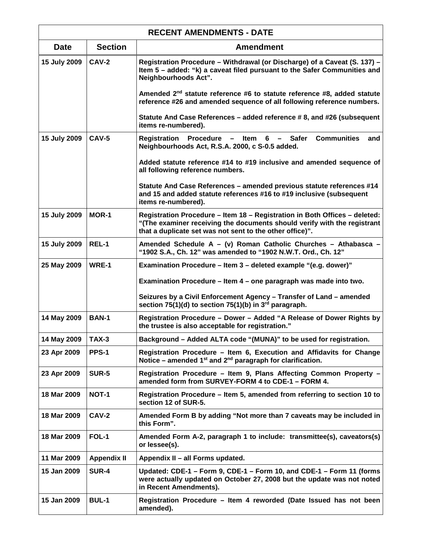| <b>RECENT AMENDMENTS - DATE</b> |                    |                                                                                                                                                                                                                    |
|---------------------------------|--------------------|--------------------------------------------------------------------------------------------------------------------------------------------------------------------------------------------------------------------|
| <b>Date</b>                     | <b>Section</b>     | <b>Amendment</b>                                                                                                                                                                                                   |
| 15 July 2009                    | CAV-2              | Registration Procedure - Withdrawal (or Discharge) of a Caveat (S. 137) -<br>Item 5 - added: "k) a caveat filed pursuant to the Safer Communities and<br>Neighbourhoods Act".                                      |
|                                 |                    | Amended 2 <sup>nd</sup> statute reference #6 to statute reference #8, added statute<br>reference #26 and amended sequence of all following reference numbers.                                                      |
|                                 |                    | Statute And Case References - added reference # 8, and #26 (subsequent<br>items re-numbered).                                                                                                                      |
| 15 July 2009                    | <b>CAV-5</b>       | <b>Communities</b><br>Registration Procedure - Item 6 - Safer<br>and<br>Neighbourhoods Act, R.S.A. 2000, c S-0.5 added.                                                                                            |
|                                 |                    | Added statute reference #14 to #19 inclusive and amended sequence of<br>all following reference numbers.                                                                                                           |
|                                 |                    | Statute And Case References - amended previous statute references #14<br>and 15 and added statute references #16 to #19 inclusive (subsequent<br>items re-numbered).                                               |
| 15 July 2009                    | <b>MOR-1</b>       | Registration Procedure - Item 18 - Registration in Both Offices - deleted:<br>"(The examiner receiving the documents should verify with the registrant<br>that a duplicate set was not sent to the other office)". |
| 15 July 2009                    | REL-1              | Amended Schedule A - (v) Roman Catholic Churches - Athabasca -<br>"1902 S.A., Ch. 12" was amended to "1902 N.W.T. Ord., Ch. 12"                                                                                    |
| 25 May 2009                     | WRE-1              | Examination Procedure – Item 3 – deleted example "(e.g. dower)"                                                                                                                                                    |
|                                 |                    | Examination Procedure - Item 4 - one paragraph was made into two.                                                                                                                                                  |
|                                 |                    | Seizures by a Civil Enforcement Agency - Transfer of Land - amended<br>section 75(1)(d) to section 75(1)(b) in $3^{rd}$ paragraph.                                                                                 |
| 14 May 2009                     | <b>BAN-1</b>       | Registration Procedure - Dower - Added "A Release of Dower Rights by<br>the trustee is also acceptable for registration."                                                                                          |
| 14 May 2009                     | <b>TAX-3</b>       | Background - Added ALTA code "(MUNA)" to be used for registration.                                                                                                                                                 |
| 23 Apr 2009                     | PPS-1              | Registration Procedure - Item 6, Execution and Affidavits for Change<br>Notice – amended $1^{st}$ and $2^{nd}$ paragraph for clarification.                                                                        |
| 23 Apr 2009                     | <b>SUR-5</b>       | Registration Procedure - Item 9, Plans Affecting Common Property -<br>amended form from SURVEY-FORM 4 to CDE-1 - FORM 4.                                                                                           |
| 18 Mar 2009                     | NOT-1              | Registration Procedure – Item 5, amended from referring to section 10 to<br>section 12 of SUR-5.                                                                                                                   |
| 18 Mar 2009                     | CAV-2              | Amended Form B by adding "Not more than 7 caveats may be included in<br>this Form".                                                                                                                                |
| 18 Mar 2009                     | FOL-1              | Amended Form A-2, paragraph 1 to include: transmittee(s), caveators(s)<br>or lessee(s).                                                                                                                            |
| 11 Mar 2009                     | <b>Appendix II</b> | Appendix II - all Forms updated.                                                                                                                                                                                   |
| 15 Jan 2009                     | <b>SUR-4</b>       | Updated: CDE-1 - Form 9, CDE-1 - Form 10, and CDE-1 - Form 11 (forms<br>were actually updated on October 27, 2008 but the update was not noted<br>in Recent Amendments).                                           |
| 15 Jan 2009                     | <b>BUL-1</b>       | Registration Procedure - Item 4 reworded (Date Issued has not been<br>amended).                                                                                                                                    |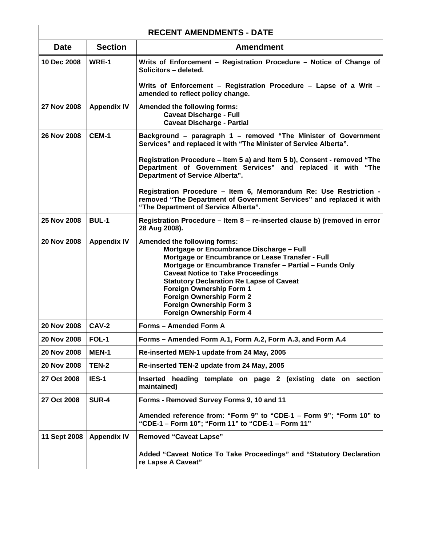| <b>RECENT AMENDMENTS - DATE</b> |                    |                                                                                                                                                                                                                                                                                                                                                                                                                      |
|---------------------------------|--------------------|----------------------------------------------------------------------------------------------------------------------------------------------------------------------------------------------------------------------------------------------------------------------------------------------------------------------------------------------------------------------------------------------------------------------|
| <b>Date</b>                     | <b>Section</b>     | <b>Amendment</b>                                                                                                                                                                                                                                                                                                                                                                                                     |
| 10 Dec 2008                     | WRE-1              | Writs of Enforcement - Registration Procedure - Notice of Change of<br>Solicitors - deleted.                                                                                                                                                                                                                                                                                                                         |
|                                 |                    | Writs of Enforcement - Registration Procedure - Lapse of a Writ -<br>amended to reflect policy change.                                                                                                                                                                                                                                                                                                               |
| 27 Nov 2008                     | <b>Appendix IV</b> | Amended the following forms:<br><b>Caveat Discharge - Full</b><br><b>Caveat Discharge - Partial</b>                                                                                                                                                                                                                                                                                                                  |
| 26 Nov 2008                     | <b>CEM-1</b>       | Background – paragraph 1 – removed "The Minister of Government<br>Services" and replaced it with "The Minister of Service Alberta".                                                                                                                                                                                                                                                                                  |
|                                 |                    | Registration Procedure – Item 5 a) and Item 5 b), Consent - removed "The<br>Department of Government Services" and replaced it with "The<br><b>Department of Service Alberta".</b>                                                                                                                                                                                                                                   |
|                                 |                    | Registration Procedure - Item 6, Memorandum Re: Use Restriction -<br>removed "The Department of Government Services" and replaced it with<br>"The Department of Service Alberta".                                                                                                                                                                                                                                    |
| 25 Nov 2008                     | <b>BUL-1</b>       | Registration Procedure - Item 8 - re-inserted clause b) (removed in error<br>28 Aug 2008).                                                                                                                                                                                                                                                                                                                           |
| 20 Nov 2008                     | <b>Appendix IV</b> | Amended the following forms:<br>Mortgage or Encumbrance Discharge - Full<br>Mortgage or Encumbrance or Lease Transfer - Full<br>Mortgage or Encumbrance Transfer - Partial - Funds Only<br><b>Caveat Notice to Take Proceedings</b><br><b>Statutory Declaration Re Lapse of Caveat</b><br>Foreign Ownership Form 1<br><b>Foreign Ownership Form 2</b><br><b>Foreign Ownership Form 3</b><br>Foreign Ownership Form 4 |
| 20 Nov 2008                     | <b>CAV-2</b>       | Forms - Amended Form A                                                                                                                                                                                                                                                                                                                                                                                               |
| 20 Nov 2008                     | FOL-1              | Forms - Amended Form A.1, Form A.2, Form A.3, and Form A.4                                                                                                                                                                                                                                                                                                                                                           |
| 20 Nov 2008                     | MEN-1              | Re-inserted MEN-1 update from 24 May, 2005                                                                                                                                                                                                                                                                                                                                                                           |
| 20 Nov 2008                     | <b>TEN-2</b>       | Re-inserted TEN-2 update from 24 May, 2005                                                                                                                                                                                                                                                                                                                                                                           |
| 27 Oct 2008                     | IES-1              | Inserted heading template on page 2 (existing date on section<br>maintained)                                                                                                                                                                                                                                                                                                                                         |
| 27 Oct 2008                     | <b>SUR-4</b>       | Forms - Removed Survey Forms 9, 10 and 11                                                                                                                                                                                                                                                                                                                                                                            |
|                                 |                    | Amended reference from: "Form 9" to "CDE-1 - Form 9"; "Form 10" to<br>"CDE-1 - Form 10"; "Form 11" to "CDE-1 - Form 11"                                                                                                                                                                                                                                                                                              |
| 11 Sept 2008                    | <b>Appendix IV</b> | <b>Removed "Caveat Lapse"</b>                                                                                                                                                                                                                                                                                                                                                                                        |
|                                 |                    | Added "Caveat Notice To Take Proceedings" and "Statutory Declaration<br>re Lapse A Caveat"                                                                                                                                                                                                                                                                                                                           |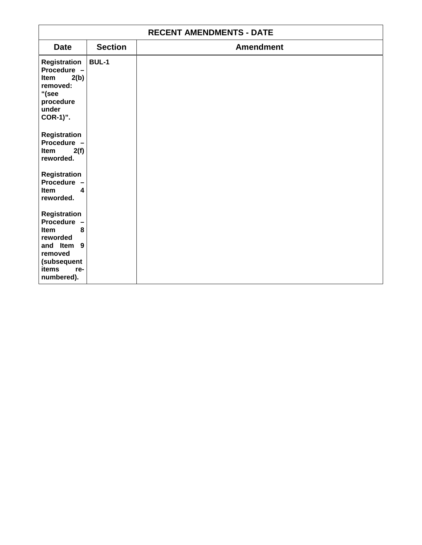| <b>RECENT AMENDMENTS - DATE</b>                                                                    |                |                  |
|----------------------------------------------------------------------------------------------------|----------------|------------------|
| <b>Date</b>                                                                                        | <b>Section</b> | <b>Amendment</b> |
| Registration<br>Procedure -<br>2(b)<br>Item<br>removed:<br>"(see<br>procedure<br>under<br>COR-1)". | <b>BUL-1</b>   |                  |
| Registration<br>Procedure -<br>2(f)<br>Item<br>reworded.<br>Registration<br><b>Procedure</b>       |                |                  |
| <b>Item</b><br>4<br>reworded.                                                                      |                |                  |
| Registration<br><b>Procedure</b><br>Item<br>8<br>reworded                                          |                |                  |
| and Item 9<br>removed<br>(subsequent<br><b>items</b><br>re-<br>numbered).                          |                |                  |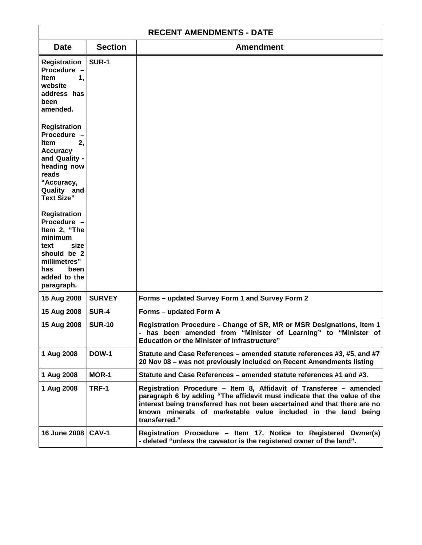| <b>RECENT AMENDMENTS - DATE</b>                                                                                                                                                                      |                |                                                                                                                                                                                                                                                                                                               |
|------------------------------------------------------------------------------------------------------------------------------------------------------------------------------------------------------|----------------|---------------------------------------------------------------------------------------------------------------------------------------------------------------------------------------------------------------------------------------------------------------------------------------------------------------|
| <b>Date</b>                                                                                                                                                                                          | <b>Section</b> | <b>Amendment</b>                                                                                                                                                                                                                                                                                              |
| Registration<br>Procedure -<br>1.<br>Item<br>website<br>address has<br>been<br>amended.                                                                                                              | <b>SUR-1</b>   |                                                                                                                                                                                                                                                                                                               |
| Registration<br>Procedure -<br>2,<br><b>Item</b><br><b>Accuracy</b><br>and Quality -<br>heading now<br>reads<br>"Accuracy,<br>Quality and<br><b>Text Size"</b><br><b>Registration</b><br>Procedure - |                |                                                                                                                                                                                                                                                                                                               |
| Item 2, "The<br>minimum<br>size<br>text<br>should be 2<br>millimetres"<br>has<br>been<br>added to the<br>paragraph.                                                                                  |                |                                                                                                                                                                                                                                                                                                               |
| 15 Aug 2008                                                                                                                                                                                          | <b>SURVEY</b>  | Forms - updated Survey Form 1 and Survey Form 2                                                                                                                                                                                                                                                               |
| 15 Aug 2008                                                                                                                                                                                          | <b>SUR-4</b>   | Forms - updated Form A                                                                                                                                                                                                                                                                                        |
| 15 Aug 2008                                                                                                                                                                                          | <b>SUR-10</b>  | Registration Procedure - Change of SR, MR or MSR Designations, Item 1<br>has been amended from "Minister of Learning" to "Minister of<br><b>Education or the Minister of Infrastructure"</b>                                                                                                                  |
| 1 Aug 2008                                                                                                                                                                                           | <b>DOW-1</b>   | Statute and Case References - amended statute references #3, #5, and #7<br>20 Nov 08 - was not previously included on Recent Amendments listing                                                                                                                                                               |
| 1 Aug 2008                                                                                                                                                                                           | MOR-1          | Statute and Case References – amended statute references #1 and #3.                                                                                                                                                                                                                                           |
| 1 Aug 2008                                                                                                                                                                                           | TRF-1          | Registration Procedure - Item 8, Affidavit of Transferee - amended<br>paragraph 6 by adding "The affidavit must indicate that the value of the<br>interest being transferred has not been ascertained and that there are no<br>known minerals of marketable value included in the land being<br>transferred." |
| 16 June 2008                                                                                                                                                                                         | <b>CAV-1</b>   | Registration Procedure - Item 17, Notice to Registered Owner(s)<br>- deleted "unless the caveator is the registered owner of the land".                                                                                                                                                                       |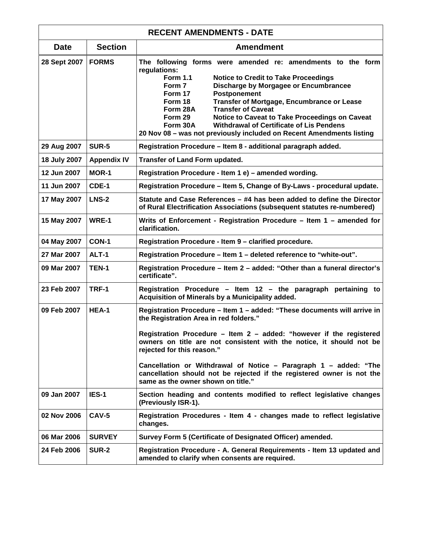| <b>RECENT AMENDMENTS - DATE</b> |                    |                                                                                                                                                                                                                                                                                                                                                                                                                                                                                                                                   |
|---------------------------------|--------------------|-----------------------------------------------------------------------------------------------------------------------------------------------------------------------------------------------------------------------------------------------------------------------------------------------------------------------------------------------------------------------------------------------------------------------------------------------------------------------------------------------------------------------------------|
| <b>Date</b>                     | <b>Section</b>     | <b>Amendment</b>                                                                                                                                                                                                                                                                                                                                                                                                                                                                                                                  |
| 28 Sept 2007                    | <b>FORMS</b>       | The following forms were amended re: amendments to the form<br>regulations:<br><b>Form 1.1</b><br><b>Notice to Credit to Take Proceedings</b><br>Form 7<br>Discharge by Morgagee or Encumbrancee<br>Form 17<br>Postponement<br>Form 18<br>Transfer of Mortgage, Encumbrance or Lease<br><b>Transfer of Caveat</b><br>Form 28A<br>Notice to Caveat to Take Proceedings on Caveat<br>Form 29<br>Form 30A<br><b>Withdrawal of Certificate of Lis Pendens</b><br>20 Nov 08 - was not previously included on Recent Amendments listing |
| 29 Aug 2007                     | <b>SUR-5</b>       | Registration Procedure - Item 8 - additional paragraph added.                                                                                                                                                                                                                                                                                                                                                                                                                                                                     |
| 18 July 2007                    | <b>Appendix IV</b> | Transfer of Land Form updated.                                                                                                                                                                                                                                                                                                                                                                                                                                                                                                    |
| 12 Jun 2007                     | MOR-1              | Registration Procedure - Item 1 e) - amended wording.                                                                                                                                                                                                                                                                                                                                                                                                                                                                             |
| 11 Jun 2007                     | CDE-1              | Registration Procedure - Item 5, Change of By-Laws - procedural update.                                                                                                                                                                                                                                                                                                                                                                                                                                                           |
| 17 May 2007                     | <b>LNS-2</b>       | Statute and Case References - #4 has been added to define the Director<br>of Rural Electrification Associations (subsequent statutes re-numbered)                                                                                                                                                                                                                                                                                                                                                                                 |
| 15 May 2007                     | WRE-1              | Writs of Enforcement - Registration Procedure - Item 1 - amended for<br>clarification.                                                                                                                                                                                                                                                                                                                                                                                                                                            |
| 04 May 2007                     | CON-1              | Registration Procedure - Item 9 - clarified procedure.                                                                                                                                                                                                                                                                                                                                                                                                                                                                            |
| 27 Mar 2007                     | <b>ALT-1</b>       | Registration Procedure - Item 1 - deleted reference to "white-out".                                                                                                                                                                                                                                                                                                                                                                                                                                                               |
| 09 Mar 2007                     | TEN-1              | Registration Procedure - Item 2 - added: "Other than a funeral director's<br>certificate".                                                                                                                                                                                                                                                                                                                                                                                                                                        |
| 23 Feb 2007                     | TRF-1              | Registration Procedure - Item 12 - the paragraph pertaining to<br>Acquisition of Minerals by a Municipality added.                                                                                                                                                                                                                                                                                                                                                                                                                |
| 09 Feb 2007                     | HEA-1              | Registration Procedure - Item 1 - added: "These documents will arrive in<br>the Registration Area in red folders."                                                                                                                                                                                                                                                                                                                                                                                                                |
|                                 |                    | Registration Procedure - Item 2 - added: "however if the registered<br>owners on title are not consistent with the notice, it should not be<br>rejected for this reason."                                                                                                                                                                                                                                                                                                                                                         |
|                                 |                    | Cancellation or Withdrawal of Notice - Paragraph 1 - added: "The<br>cancellation should not be rejected if the registered owner is not the<br>same as the owner shown on title."                                                                                                                                                                                                                                                                                                                                                  |
| 09 Jan 2007                     | IES-1              | Section heading and contents modified to reflect legislative changes<br>(Previously ISR-1).                                                                                                                                                                                                                                                                                                                                                                                                                                       |
| 02 Nov 2006                     | <b>CAV-5</b>       | Registration Procedures - Item 4 - changes made to reflect legislative<br>changes.                                                                                                                                                                                                                                                                                                                                                                                                                                                |
| 06 Mar 2006                     | <b>SURVEY</b>      | Survey Form 5 (Certificate of Designated Officer) amended.                                                                                                                                                                                                                                                                                                                                                                                                                                                                        |
| 24 Feb 2006                     | <b>SUR-2</b>       | Registration Procedure - A. General Requirements - Item 13 updated and<br>amended to clarify when consents are required.                                                                                                                                                                                                                                                                                                                                                                                                          |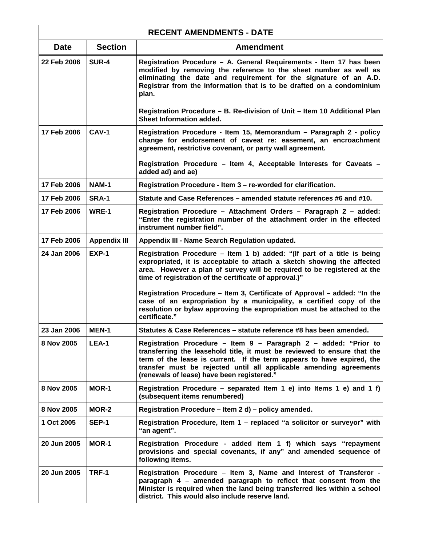| <b>RECENT AMENDMENTS - DATE</b> |                     |                                                                                                                                                                                                                                                                                                                                            |
|---------------------------------|---------------------|--------------------------------------------------------------------------------------------------------------------------------------------------------------------------------------------------------------------------------------------------------------------------------------------------------------------------------------------|
| <b>Date</b>                     | <b>Section</b>      | <b>Amendment</b>                                                                                                                                                                                                                                                                                                                           |
| 22 Feb 2006                     | <b>SUR-4</b>        | Registration Procedure - A. General Requirements - Item 17 has been<br>modified by removing the reference to the sheet number as well as<br>eliminating the date and requirement for the signature of an A.D.<br>Registrar from the information that is to be drafted on a condominium<br>plan.                                            |
|                                 |                     | Registration Procedure - B. Re-division of Unit - Item 10 Additional Plan<br>Sheet Information added.                                                                                                                                                                                                                                      |
| 17 Feb 2006                     | CAV-1               | Registration Procedure - Item 15, Memorandum - Paragraph 2 - policy<br>change for endorsement of caveat re: easement, an encroachment<br>agreement, restrictive covenant, or party wall agreement.                                                                                                                                         |
|                                 |                     | Registration Procedure - Item 4, Acceptable Interests for Caveats -<br>added ad) and ae)                                                                                                                                                                                                                                                   |
| 17 Feb 2006                     | <b>NAM-1</b>        | Registration Procedure - Item 3 - re-worded for clarification.                                                                                                                                                                                                                                                                             |
| 17 Feb 2006                     | <b>SRA-1</b>        | Statute and Case References – amended statute references #6 and #10.                                                                                                                                                                                                                                                                       |
| 17 Feb 2006                     | WRE-1               | Registration Procedure - Attachment Orders - Paragraph 2 - added:<br>"Enter the registration number of the attachment order in the effected<br>instrument number field".                                                                                                                                                                   |
| 17 Feb 2006                     | <b>Appendix III</b> | Appendix III - Name Search Regulation updated.                                                                                                                                                                                                                                                                                             |
| 24 Jan 2006                     | <b>EXP-1</b>        | Registration Procedure - Item 1 b) added: "(If part of a title is being<br>expropriated, it is acceptable to attach a sketch showing the affected<br>area. However a plan of survey will be required to be registered at the<br>time of registration of the certificate of approval.)"                                                     |
|                                 |                     | Registration Procedure - Item 3, Certificate of Approval - added: "In the<br>case of an expropriation by a municipality, a certified copy of the<br>resolution or bylaw approving the expropriation must be attached to the<br>certificate."                                                                                               |
| 23 Jan 2006                     | MEN-1               | Statutes & Case References - statute reference #8 has been amended.                                                                                                                                                                                                                                                                        |
| 8 Nov 2005                      | LEA-1               | Registration Procedure - Item 9 - Paragraph 2 - added: "Prior to<br>transferring the leasehold title, it must be reviewed to ensure that the<br>term of the lease is current. If the term appears to have expired, the<br>transfer must be rejected until all applicable amending agreements<br>(renewals of lease) have been registered." |
| 8 Nov 2005                      | <b>MOR-1</b>        | Registration Procedure – separated Item 1 e) into Items 1 e) and 1 f)<br>(subsequent items renumbered)                                                                                                                                                                                                                                     |
| 8 Nov 2005                      | MOR-2               | Registration Procedure - Item 2 d) - policy amended.                                                                                                                                                                                                                                                                                       |
| 1 Oct 2005                      | <b>SEP-1</b>        | Registration Procedure, Item 1 - replaced "a solicitor or surveyor" with<br>"an agent".                                                                                                                                                                                                                                                    |
| 20 Jun 2005                     | <b>MOR-1</b>        | Registration Procedure - added item 1 f) which says "repayment<br>provisions and special covenants, if any" and amended sequence of<br>following items.                                                                                                                                                                                    |
| 20 Jun 2005                     | TRF-1               | Registration Procedure - Item 3, Name and Interest of Transferor -<br>paragraph 4 - amended paragraph to reflect that consent from the<br>Minister is required when the land being transferred lies within a school<br>district. This would also include reserve land.                                                                     |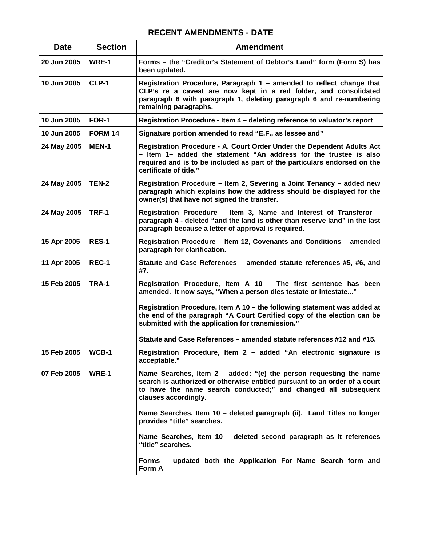| <b>RECENT AMENDMENTS - DATE</b> |                |                                                                                                                                                                                                                                                    |
|---------------------------------|----------------|----------------------------------------------------------------------------------------------------------------------------------------------------------------------------------------------------------------------------------------------------|
| <b>Date</b>                     | <b>Section</b> | <b>Amendment</b>                                                                                                                                                                                                                                   |
| 20 Jun 2005                     | WRE-1          | Forms - the "Creditor's Statement of Debtor's Land" form (Form S) has<br>been updated.                                                                                                                                                             |
| 10 Jun 2005                     | CLP-1          | Registration Procedure, Paragraph 1 - amended to reflect change that<br>CLP's re a caveat are now kept in a red folder, and consolidated<br>paragraph 6 with paragraph 1, deleting paragraph 6 and re-numbering<br>remaining paragraphs.           |
| 10 Jun 2005                     | FOR-1          | Registration Procedure - Item 4 - deleting reference to valuator's report                                                                                                                                                                          |
| 10 Jun 2005                     | <b>FORM 14</b> | Signature portion amended to read "E.F., as lessee and"                                                                                                                                                                                            |
| 24 May 2005                     | <b>MEN-1</b>   | Registration Procedure - A. Court Order Under the Dependent Adults Act<br>- Item 1- added the statement "An address for the trustee is also<br>required and is to be included as part of the particulars endorsed on the<br>certificate of title." |
| 24 May 2005                     | TEN-2          | Registration Procedure - Item 2, Severing a Joint Tenancy - added new<br>paragraph which explains how the address should be displayed for the<br>owner(s) that have not signed the transfer.                                                       |
| 24 May 2005                     | TRF-1          | Registration Procedure - Item 3, Name and Interest of Transferor -<br>paragraph 4 - deleted "and the land is other than reserve land" in the last<br>paragraph because a letter of approval is required.                                           |
| 15 Apr 2005                     | RES-1          | Registration Procedure - Item 12, Covenants and Conditions - amended<br>paragraph for clarification.                                                                                                                                               |
| 11 Apr 2005                     | REC-1          | Statute and Case References - amended statute references #5, #6, and<br>#7.                                                                                                                                                                        |
| 15 Feb 2005                     | TRA-1          | Registration Procedure, Item A 10 - The first sentence has been<br>amended. It now says, "When a person dies testate or intestate"                                                                                                                 |
|                                 |                | Registration Procedure, Item A 10 - the following statement was added at<br>the end of the paragraph "A Court Certified copy of the election can be<br>submitted with the application for transmission."                                           |
|                                 |                | Statute and Case References - amended statute references #12 and #15.                                                                                                                                                                              |
| 15 Feb 2005                     | $WCB-1$        | Registration Procedure, Item 2 - added "An electronic signature is<br>acceptable."                                                                                                                                                                 |
| 07 Feb 2005                     | WRE-1          | Name Searches, Item $2$ – added: "(e) the person requesting the name<br>search is authorized or otherwise entitled pursuant to an order of a court<br>to have the name search conducted;" and changed all subsequent<br>clauses accordingly.       |
|                                 |                | Name Searches, Item 10 - deleted paragraph (ii). Land Titles no longer<br>provides "title" searches.                                                                                                                                               |
|                                 |                | Name Searches, Item 10 - deleted second paragraph as it references<br>"title" searches.                                                                                                                                                            |
|                                 |                | Forms – updated both the Application For Name Search form and<br>Form A                                                                                                                                                                            |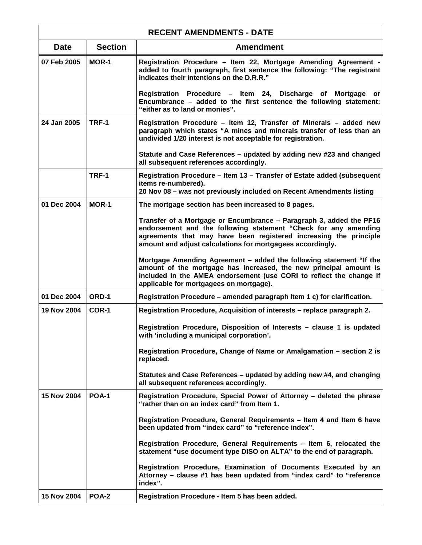| <b>RECENT AMENDMENTS - DATE</b> |                |                                                                                                                                                                                                                                                                           |
|---------------------------------|----------------|---------------------------------------------------------------------------------------------------------------------------------------------------------------------------------------------------------------------------------------------------------------------------|
| <b>Date</b>                     | <b>Section</b> | <b>Amendment</b>                                                                                                                                                                                                                                                          |
| 07 Feb 2005                     | <b>MOR-1</b>   | Registration Procedure - Item 22, Mortgage Amending Agreement -<br>added to fourth paragraph, first sentence the following: "The registrant<br>indicates their intentions on the D.R.R."                                                                                  |
|                                 |                | Registration Procedure - Item 24, Discharge of Mortgage<br>or -<br>Encumbrance - added to the first sentence the following statement:<br>"either as to land or monies".                                                                                                   |
| 24 Jan 2005                     | TRF-1          | Registration Procedure - Item 12, Transfer of Minerals - added new<br>paragraph which states "A mines and minerals transfer of less than an<br>undivided 1/20 interest is not acceptable for registration.                                                                |
|                                 |                | Statute and Case References - updated by adding new #23 and changed<br>all subsequent references accordingly.                                                                                                                                                             |
|                                 | TRF-1          | Registration Procedure – Item 13 – Transfer of Estate added (subsequent<br>items re-numbered).<br>20 Nov 08 - was not previously included on Recent Amendments listing                                                                                                    |
| 01 Dec 2004                     | <b>MOR-1</b>   | The mortgage section has been increased to 8 pages.                                                                                                                                                                                                                       |
|                                 |                | Transfer of a Mortgage or Encumbrance - Paragraph 3, added the PF16<br>endorsement and the following statement "Check for any amending<br>agreements that may have been registered increasing the principle<br>amount and adjust calculations for mortgagees accordingly. |
|                                 |                | Mortgage Amending Agreement - added the following statement "If the<br>amount of the mortgage has increased, the new principal amount is<br>included in the AMEA endorsement (use CORI to reflect the change if<br>applicable for mortgagees on mortgage).                |
| 01 Dec 2004                     | ORD-1          | Registration Procedure - amended paragraph Item 1 c) for clarification.                                                                                                                                                                                                   |
| 19 Nov 2004                     | COR-1          | Registration Procedure, Acquisition of interests - replace paragraph 2.                                                                                                                                                                                                   |
|                                 |                | Registration Procedure, Disposition of Interests - clause 1 is updated<br>with 'including a municipal corporation'.                                                                                                                                                       |
|                                 |                | Registration Procedure, Change of Name or Amalgamation – section 2 is<br>replaced.                                                                                                                                                                                        |
|                                 |                | Statutes and Case References – updated by adding new #4, and changing<br>all subsequent references accordingly.                                                                                                                                                           |
| 15 Nov 2004                     | <b>POA-1</b>   | Registration Procedure, Special Power of Attorney – deleted the phrase<br>"rather than on an index card" from Item 1.                                                                                                                                                     |
|                                 |                | Registration Procedure, General Requirements - Item 4 and Item 6 have<br>been updated from "index card" to "reference index".                                                                                                                                             |
|                                 |                | Registration Procedure, General Requirements - Item 6, relocated the<br>statement "use document type DISO on ALTA" to the end of paragraph.                                                                                                                               |
|                                 |                | Registration Procedure, Examination of Documents Executed by an<br>Attorney – clause #1 has been updated from "index card" to "reference<br>index".                                                                                                                       |
| 15 Nov 2004                     | <b>POA-2</b>   | Registration Procedure - Item 5 has been added.                                                                                                                                                                                                                           |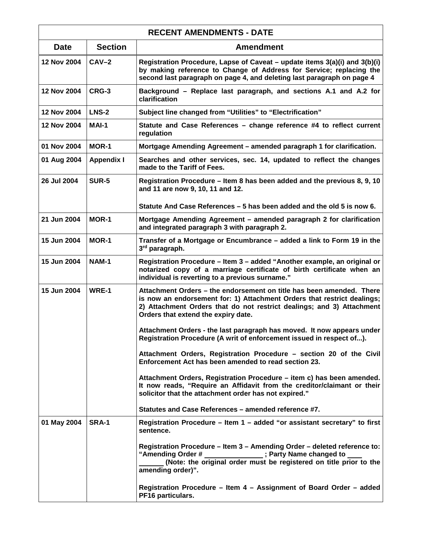| <b>RECENT AMENDMENTS - DATE</b> |                   |                                                                                                                                                                                                                                                                 |
|---------------------------------|-------------------|-----------------------------------------------------------------------------------------------------------------------------------------------------------------------------------------------------------------------------------------------------------------|
| <b>Date</b>                     | <b>Section</b>    | <b>Amendment</b>                                                                                                                                                                                                                                                |
| 12 Nov 2004                     | $CAV-2$           | Registration Procedure, Lapse of Caveat – update items 3(a)(i) and 3(b)(i)<br>by making reference to Change of Address for Service; replacing the<br>second last paragraph on page 4, and deleting last paragraph on page 4                                     |
| 12 Nov 2004                     | CRG-3             | Background – Replace last paragraph, and sections A.1 and A.2 for<br>clarification                                                                                                                                                                              |
| 12 Nov 2004                     | LNS-2             | Subject line changed from "Utilities" to "Electrification"                                                                                                                                                                                                      |
| 12 Nov 2004                     | MAI-1             | Statute and Case References - change reference #4 to reflect current<br>regulation                                                                                                                                                                              |
| 01 Nov 2004                     | <b>MOR-1</b>      | Mortgage Amending Agreement - amended paragraph 1 for clarification.                                                                                                                                                                                            |
| 01 Aug 2004                     | <b>Appendix I</b> | Searches and other services, sec. 14, updated to reflect the changes<br>made to the Tariff of Fees.                                                                                                                                                             |
| 26 Jul 2004                     | <b>SUR-5</b>      | Registration Procedure - Item 8 has been added and the previous 8, 9, 10<br>and 11 are now 9, 10, 11 and 12.                                                                                                                                                    |
|                                 |                   | Statute And Case References – 5 has been added and the old 5 is now 6.                                                                                                                                                                                          |
| 21 Jun 2004                     | <b>MOR-1</b>      | Mortgage Amending Agreement - amended paragraph 2 for clarification<br>and integrated paragraph 3 with paragraph 2.                                                                                                                                             |
| 15 Jun 2004                     | <b>MOR-1</b>      | Transfer of a Mortgage or Encumbrance – added a link to Form 19 in the<br>3rd paragraph.                                                                                                                                                                        |
| 15 Jun 2004                     | <b>NAM-1</b>      | Registration Procedure - Item 3 - added "Another example, an original or<br>notarized copy of a marriage certificate of birth certificate when an<br>individual is reverting to a previous surname."                                                            |
| 15 Jun 2004                     | WRE-1             | Attachment Orders – the endorsement on title has been amended. There<br>is now an endorsement for: 1) Attachment Orders that restrict dealings;<br>2) Attachment Orders that do not restrict dealings; and 3) Attachment<br>Orders that extend the expiry date. |
|                                 |                   | Attachment Orders - the last paragraph has moved. It now appears under<br>Registration Procedure (A writ of enforcement issued in respect of).                                                                                                                  |
|                                 |                   | Attachment Orders, Registration Procedure - section 20 of the Civil<br>Enforcement Act has been amended to read section 23.                                                                                                                                     |
|                                 |                   | Attachment Orders, Registration Procedure - item c) has been amended.<br>It now reads, "Require an Affidavit from the creditor/claimant or their<br>solicitor that the attachment order has not expired."                                                       |
|                                 |                   | Statutes and Case References - amended reference #7.                                                                                                                                                                                                            |
| 01 May 2004                     | <b>SRA-1</b>      | Registration Procedure - Item 1 - added "or assistant secretary" to first<br>sentence.                                                                                                                                                                          |
|                                 |                   | Registration Procedure - Item 3 - Amending Order - deleted reference to:<br>"Amending Order # _________<br>; Party Name changed to<br>(Note: the original order must be registered on title prior to the<br>amending order)".                                   |
|                                 |                   | Registration Procedure - Item 4 - Assignment of Board Order - added<br>PF16 particulars.                                                                                                                                                                        |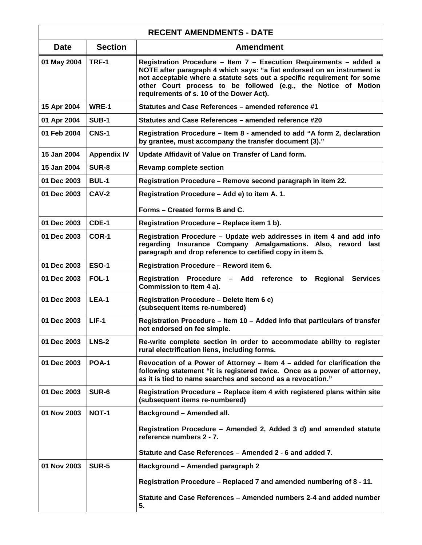| <b>RECENT AMENDMENTS - DATE</b> |                    |                                                                                                                                                                                                                                                                                                                                        |
|---------------------------------|--------------------|----------------------------------------------------------------------------------------------------------------------------------------------------------------------------------------------------------------------------------------------------------------------------------------------------------------------------------------|
| <b>Date</b>                     | <b>Section</b>     | <b>Amendment</b>                                                                                                                                                                                                                                                                                                                       |
| 01 May 2004                     | TRF-1              | Registration Procedure - Item 7 - Execution Requirements - added a<br>NOTE after paragraph 4 which says: "a fiat endorsed on an instrument is<br>not acceptable where a statute sets out a specific requirement for some<br>other Court process to be followed (e.g., the Notice of Motion<br>requirements of s. 10 of the Dower Act). |
| 15 Apr 2004                     | WRE-1              | Statutes and Case References - amended reference #1                                                                                                                                                                                                                                                                                    |
| 01 Apr 2004                     | <b>SUB-1</b>       | Statutes and Case References – amended reference #20                                                                                                                                                                                                                                                                                   |
| 01 Feb 2004                     | <b>CNS-1</b>       | Registration Procedure - Item 8 - amended to add "A form 2, declaration<br>by grantee, must accompany the transfer document (3)."                                                                                                                                                                                                      |
| 15 Jan 2004                     | <b>Appendix IV</b> | Update Affidavit of Value on Transfer of Land form.                                                                                                                                                                                                                                                                                    |
| 15 Jan 2004                     | <b>SUR-8</b>       | <b>Revamp complete section</b>                                                                                                                                                                                                                                                                                                         |
| 01 Dec 2003                     | <b>BUL-1</b>       | Registration Procedure - Remove second paragraph in item 22.                                                                                                                                                                                                                                                                           |
| 01 Dec 2003                     | <b>CAV-2</b>       | Registration Procedure - Add e) to item A. 1.                                                                                                                                                                                                                                                                                          |
|                                 |                    | Forms - Created forms B and C.                                                                                                                                                                                                                                                                                                         |
| 01 Dec 2003                     | CDE-1              | Registration Procedure - Replace item 1 b).                                                                                                                                                                                                                                                                                            |
| 01 Dec 2003                     | COR-1              | Registration Procedure - Update web addresses in item 4 and add info<br>regarding Insurance Company Amalgamations. Also, reword last<br>paragraph and drop reference to certified copy in item 5.                                                                                                                                      |
| 01 Dec 2003                     | <b>ESO-1</b>       | Registration Procedure - Reword item 6.                                                                                                                                                                                                                                                                                                |
| 01 Dec 2003                     | FOL-1              | Registration Procedure - Add reference to<br>Regional<br><b>Services</b><br>Commission to item 4 a).                                                                                                                                                                                                                                   |
| 01 Dec 2003                     | LEA-1              | Registration Procedure - Delete item 6 c)<br>(subsequent items re-numbered)                                                                                                                                                                                                                                                            |
| 01 Dec 2003                     | $LIF-1$            | Registration Procedure - Item 10 - Added info that particulars of transfer<br>not endorsed on fee simple.                                                                                                                                                                                                                              |
| 01 Dec 2003                     | <b>LNS-2</b>       | Re-write complete section in order to accommodate ability to register<br>rural electrification liens, including forms.                                                                                                                                                                                                                 |
| 01 Dec 2003                     | <b>POA-1</b>       | Revocation of a Power of Attorney - Item 4 - added for clarification the<br>following statement "it is registered twice. Once as a power of attorney,<br>as it is tied to name searches and second as a revocation."                                                                                                                   |
| 01 Dec 2003                     | SUR-6              | Registration Procedure - Replace item 4 with registered plans within site<br>(subsequent items re-numbered)                                                                                                                                                                                                                            |
| 01 Nov 2003                     | NOT-1              | <b>Background - Amended all.</b>                                                                                                                                                                                                                                                                                                       |
|                                 |                    | Registration Procedure - Amended 2, Added 3 d) and amended statute<br>reference numbers 2 - 7.                                                                                                                                                                                                                                         |
|                                 |                    | Statute and Case References - Amended 2 - 6 and added 7.                                                                                                                                                                                                                                                                               |
| 01 Nov 2003                     | <b>SUR-5</b>       | Background - Amended paragraph 2                                                                                                                                                                                                                                                                                                       |
|                                 |                    | Registration Procedure - Replaced 7 and amended numbering of 8 - 11.                                                                                                                                                                                                                                                                   |
|                                 |                    | Statute and Case References - Amended numbers 2-4 and added number<br>5.                                                                                                                                                                                                                                                               |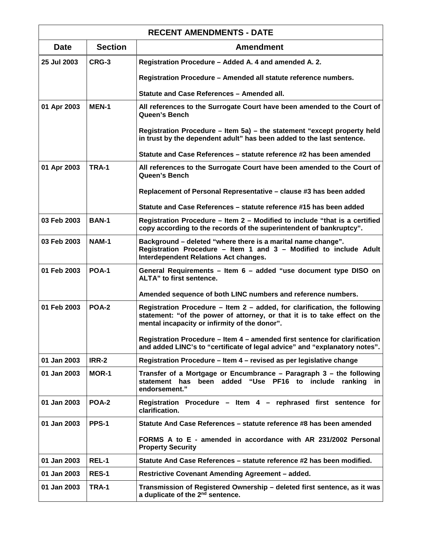| <b>RECENT AMENDMENTS - DATE</b> |                |                                                                                                                                                                                                         |
|---------------------------------|----------------|---------------------------------------------------------------------------------------------------------------------------------------------------------------------------------------------------------|
| <b>Date</b>                     | <b>Section</b> | <b>Amendment</b>                                                                                                                                                                                        |
| 25 Jul 2003                     | CRG-3          | Registration Procedure - Added A. 4 and amended A. 2.                                                                                                                                                   |
|                                 |                | Registration Procedure - Amended all statute reference numbers.                                                                                                                                         |
|                                 |                | Statute and Case References - Amended all.                                                                                                                                                              |
| 01 Apr 2003                     | <b>MEN-1</b>   | All references to the Surrogate Court have been amended to the Court of<br>Queen's Bench                                                                                                                |
|                                 |                | Registration Procedure – Item 5a) – the statement "except property held<br>in trust by the dependent adult" has been added to the last sentence.                                                        |
|                                 |                | Statute and Case References – statute reference #2 has been amended                                                                                                                                     |
| 01 Apr 2003                     | TRA-1          | All references to the Surrogate Court have been amended to the Court of<br><b>Queen's Bench</b>                                                                                                         |
|                                 |                | Replacement of Personal Representative - clause #3 has been added                                                                                                                                       |
|                                 |                | Statute and Case References – statute reference #15 has been added                                                                                                                                      |
| 03 Feb 2003                     | <b>BAN-1</b>   | Registration Procedure - Item 2 - Modified to include "that is a certified<br>copy according to the records of the superintendent of bankruptcy".                                                       |
| 03 Feb 2003                     | <b>NAM-1</b>   | Background - deleted "where there is a marital name change".<br>Registration Procedure - Item 1 and 3 - Modified to include Adult<br><b>Interdependent Relations Act changes.</b>                       |
| 01 Feb 2003                     | <b>POA-1</b>   | General Requirements - Item 6 - added "use document type DISO on<br>ALTA" to first sentence.                                                                                                            |
|                                 |                | Amended sequence of both LINC numbers and reference numbers.                                                                                                                                            |
| 01 Feb 2003                     | <b>POA-2</b>   | Registration Procedure – Item 2 – added, for clarification, the following<br>statement: "of the power of attorney, or that it is to take effect on the<br>mental incapacity or infirmity of the donor". |
|                                 |                | Registration Procedure – Item 4 – amended first sentence for clarification<br>and added LINC's to "certificate of legal advice" and "explanatory notes".                                                |
| 01 Jan 2003                     | IRR-2          | Registration Procedure – Item 4 – revised as per legislative change                                                                                                                                     |
| 01 Jan 2003                     | <b>MOR-1</b>   | Transfer of a Mortgage or Encumbrance - Paragraph 3 - the following<br>statement has been added "Use PF16 to include ranking<br>in<br>endorsement."                                                     |
| 01 Jan 2003                     | POA-2          | Registration Procedure - Item 4 - rephrased first sentence for<br>clarification.                                                                                                                        |
| 01 Jan 2003                     | PPS-1          | Statute And Case References – statute reference #8 has been amended                                                                                                                                     |
|                                 |                | FORMS A to E - amended in accordance with AR 231/2002 Personal<br><b>Property Security</b>                                                                                                              |
| 01 Jan 2003                     | REL-1          | Statute And Case References – statute reference #2 has been modified.                                                                                                                                   |
| 01 Jan 2003                     | <b>RES-1</b>   | <b>Restrictive Covenant Amending Agreement - added.</b>                                                                                                                                                 |
| 01 Jan 2003                     | TRA-1          | Transmission of Registered Ownership – deleted first sentence, as it was<br>a duplicate of the 2 <sup>nd</sup> sentence.                                                                                |